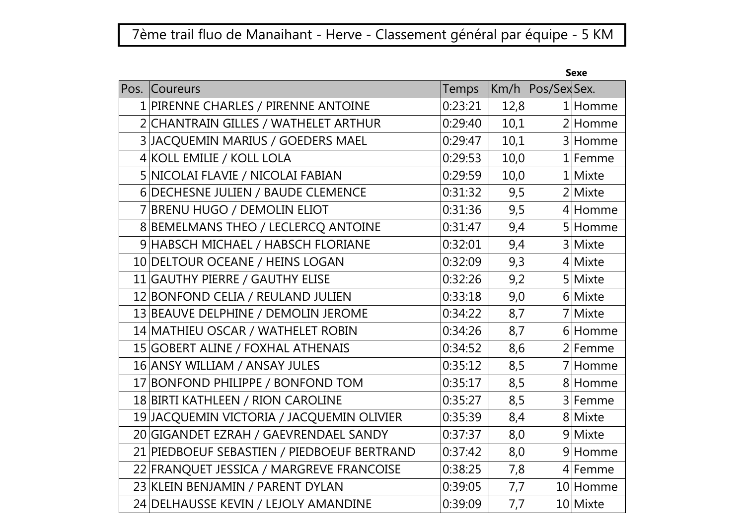## 7ème trail fluo de Manaihant - Herve - Classement général par équipe - 5 KM

| Pos. | Coureurs                                    | <b>Temps</b> |      | Km/h Pos/Sex Sex. |            |
|------|---------------------------------------------|--------------|------|-------------------|------------|
|      | 1 PIRENNE CHARLES / PIRENNE ANTOINE         | 0:23:21      | 12,8 |                   | $1$ Homme  |
|      | 2 CHANTRAIN GILLES / WATHELET ARTHUR        | 0:29:40      | 10,1 |                   | 2 Homme    |
|      | 3 JACQUEMIN MARIUS / GOEDERS MAEL           | 0:29:47      | 10,1 |                   | 3 Homme    |
|      | 4 KOLL EMILIE / KOLL LOLA                   | 0:29:53      | 10,0 |                   | $1$  Femme |
|      | 5 NICOLAI FLAVIE / NICOLAI FABIAN           | 0:29:59      | 10,0 |                   | 1 Mixte    |
|      | 6 DECHESNE JULIEN / BAUDE CLEMENCE          | 0:31:32      | 9,5  |                   | 2 Mixte    |
|      | 7 BRENU HUGO / DEMOLIN ELIOT                | 0:31:36      | 9,5  |                   | 4 Homme    |
|      | 8 BEMELMANS THEO / LECLERCQ ANTOINE         | 0:31:47      | 9,4  |                   | 5 Homme    |
|      | 9 HABSCH MICHAEL / HABSCH FLORIANE          | 0:32:01      | 9,4  |                   | 3 Mixte    |
|      | 10 DELTOUR OCEANE / HEINS LOGAN             | 0:32:09      | 9,3  |                   | 4 Mixte    |
|      | 11 GAUTHY PIERRE / GAUTHY ELISE             | 0:32:26      | 9,2  |                   | 5 Mixte    |
|      | 12 BONFOND CELIA / REULAND JULIEN           | 0:33:18      | 9,0  |                   | 6 Mixte    |
|      | 13 BEAUVE DELPHINE / DEMOLIN JEROME         | 0:34:22      | 8,7  |                   | 7 Mixte    |
|      | 14 MATHIEU OSCAR / WATHELET ROBIN           | 0:34:26      | 8,7  |                   | 6 Homme    |
|      | 15 GOBERT ALINE / FOXHAL ATHENAIS           | 0:34:52      | 8,6  |                   | $2$ Femme  |
|      | 16 ANSY WILLIAM / ANSAY JULES               | 0:35:12      | 8,5  |                   | 7 Homme    |
|      | 17 BONFOND PHILIPPE / BONFOND TOM           | 0:35:17      | 8,5  |                   | 8 Homme    |
|      | 18 BIRTI KATHLEEN / RION CAROLINE           | 0:35:27      | 8,5  |                   | 3 Femme    |
|      | 19 JACQUEMIN VICTORIA / JACQUEMIN OLIVIER   | 0:35:39      | 8,4  |                   | 8 Mixte    |
|      | 20 GIGANDET EZRAH / GAEVRENDAEL SANDY       | 0:37:37      | 8,0  |                   | 9 Mixte    |
|      | 21 PIEDBOEUF SEBASTIEN / PIEDBOEUF BERTRAND | 0:37:42      | 8,0  |                   | 9 Homme    |
|      | 22 FRANQUET JESSICA / MARGREVE FRANCOISE    | 0:38:25      | 7,8  |                   | 4 Femme    |
|      | 23 KLEIN BENJAMIN / PARENT DYLAN            | 0:39:05      | 7,7  |                   | 10 Homme   |
|      | 24 DELHAUSSE KEVIN / LEJOLY AMANDINE        | 0:39:09      | 7,7  |                   | 10 Mixte   |
|      |                                             |              |      |                   |            |

## Sexe